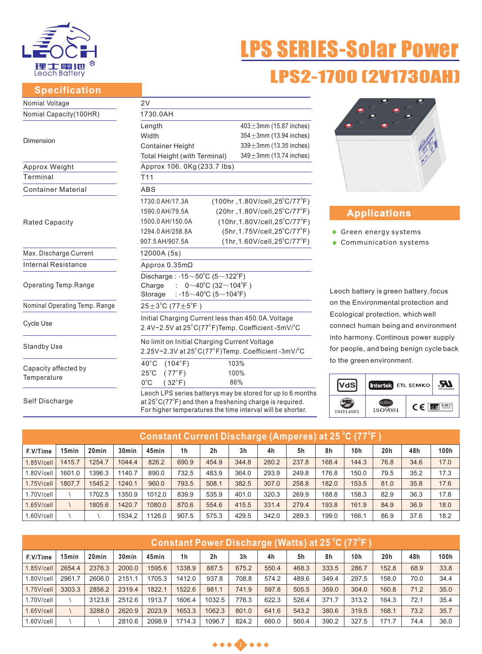

#### **Specification**

# 'S SERIES-Solar **LPS2-1700 (2V1730**

| Nomial Voltage                | 2V                                                                                                                                                                                                       |                                               |  |  |  |  |  |  |  |
|-------------------------------|----------------------------------------------------------------------------------------------------------------------------------------------------------------------------------------------------------|-----------------------------------------------|--|--|--|--|--|--|--|
| Nomial Capacity(100HR)        | 1730.0AH                                                                                                                                                                                                 |                                               |  |  |  |  |  |  |  |
|                               | Length                                                                                                                                                                                                   | $403 \pm 3$ mm (15.87 inches)                 |  |  |  |  |  |  |  |
|                               | Width                                                                                                                                                                                                    | $354 \pm 3$ mm (13.94 inches)                 |  |  |  |  |  |  |  |
| Dimension                     | <b>Container Height</b>                                                                                                                                                                                  | $339 \pm 3$ mm (13.35 inches)                 |  |  |  |  |  |  |  |
|                               | Total Height (with Terminal)                                                                                                                                                                             | $349 \pm 3$ mm (13.74 inches)                 |  |  |  |  |  |  |  |
| Approx Weight                 | Approx 106. 0Kg (233.7 lbs)                                                                                                                                                                              |                                               |  |  |  |  |  |  |  |
| Terminal                      | T <sub>11</sub>                                                                                                                                                                                          |                                               |  |  |  |  |  |  |  |
| <b>Container Material</b>     | <b>ABS</b>                                                                                                                                                                                               |                                               |  |  |  |  |  |  |  |
|                               | 1730.0 AH/17.3A                                                                                                                                                                                          | (100hr, 1.80V/cell, 25°C/77°F)                |  |  |  |  |  |  |  |
|                               | 1590.0 AH/79.5A                                                                                                                                                                                          | (20hr, 1.80V/cell, 25°C/77°F)                 |  |  |  |  |  |  |  |
| Rated Capacity                | 1500.0 AH/150.0A                                                                                                                                                                                         | $(10hr, 1.80V/cell, 25^{\circ}C/77^{\circ}F)$ |  |  |  |  |  |  |  |
|                               | 1294.0 AH/258.8A                                                                                                                                                                                         | $(5hr, 1.75V/cell, 25^{\circ}C/77^{\circ}F)$  |  |  |  |  |  |  |  |
|                               | $(1hr, 1.60V/cell, 25^{\circ}C/77^{\circ}F)$<br>907.5 AH/907.5A                                                                                                                                          |                                               |  |  |  |  |  |  |  |
| Max. Discharge Current        | 12000A (5s)                                                                                                                                                                                              |                                               |  |  |  |  |  |  |  |
| <b>Internal Resistance</b>    | Approx $0.35m\Omega$                                                                                                                                                                                     |                                               |  |  |  |  |  |  |  |
|                               | Discharge: $-15 \sim 50^{\circ}$ C (5 $\sim$ 122 $^{\circ}$ F)                                                                                                                                           |                                               |  |  |  |  |  |  |  |
| Operating Temp.Range          | $0~10^{0}$ C (32~104 <sup>°</sup> F)<br>Charge<br>$\mathcal{F}(\mathcal{A})$                                                                                                                             |                                               |  |  |  |  |  |  |  |
|                               | : -15 $\sim$ 40°C (5 $\sim$ 104°F)<br>Storage                                                                                                                                                            |                                               |  |  |  |  |  |  |  |
| Nominal Operating Temp. Range | $25 \pm 3^{\circ}$ C (77 $\pm 5^{\circ}$ F)                                                                                                                                                              |                                               |  |  |  |  |  |  |  |
|                               | Initial Charging Current less than 450.0A. Voltage                                                                                                                                                       |                                               |  |  |  |  |  |  |  |
| Cycle Use                     | 2.4V~2.5V at 25°C(77°F)Temp. Coefficient -5mV/°C                                                                                                                                                         |                                               |  |  |  |  |  |  |  |
|                               | No limit on Initial Charging Current Voltage                                                                                                                                                             |                                               |  |  |  |  |  |  |  |
| <b>Standby Use</b>            | 2.25V~2.3V at 25°C(77°F)Temp. Coefficient -3mV/°C                                                                                                                                                        |                                               |  |  |  |  |  |  |  |
|                               | $40^{\circ}$ C<br>(104°F)                                                                                                                                                                                | 103%                                          |  |  |  |  |  |  |  |
| Capacity affected by          | $25^{\circ}$ C<br>$(77^{\circ}F)$                                                                                                                                                                        | 100%                                          |  |  |  |  |  |  |  |
| Temperature                   | $0^{\circ}$ C<br>$(32^{\circ}F)$                                                                                                                                                                         | 86%                                           |  |  |  |  |  |  |  |
| Self Discharge                | Leoch LPS series batterys may be stored for up to 6 months<br>at $25^{\circ}$ C(77 $^{\circ}$ F) and then a freshening charge is required.<br>For higher temperatures the time interval will be shorter. |                                               |  |  |  |  |  |  |  |



## **Applications**

- ◆ Green energy systems
- Communication systems

Leoch battery is green battery, focus on the Environmental protection and Ecological protection, which well connect human being and environment into harmony. Continous power supply for people, and being benign cycle back to the green environment.



| <b>Constant Current Discharge (Amperes) at 25 °C (77 °F )</b> |                   |                   |                   |        |                |                |                |       |       |       |       |      |      |      |
|---------------------------------------------------------------|-------------------|-------------------|-------------------|--------|----------------|----------------|----------------|-------|-------|-------|-------|------|------|------|
| F.V/Time                                                      | 15 <sub>min</sub> | 20 <sub>min</sub> | 30 <sub>min</sub> | 45min  | 1 <sub>h</sub> | 2 <sub>h</sub> | 3 <sub>h</sub> | 4h    | 5h    | 8h    | 10h   | 20h  | 48h  | 100h |
| $1.85$ V/cell                                                 | 1415.7            | 1254.7            | 1044.4            | 826.2  | 690.9          | 454.9          | 344.8          | 280.2 | 237.8 | 168.4 | 144.3 | 76.8 | 34.6 | 17.0 |
| 1.80V/cell                                                    | 1601.0            | 1396.3            | 1140.7            | 890.0  | 732.5          | 483.9          | 364.0          | 293.9 | 249.8 | 176.8 | 150.0 | 79.5 | 35.2 | 17.3 |
| $1.75$ V/cell                                                 | 1807.7            | 1545.2            | 1240.1            | 960.0  | 793.5          | 508.1          | 382.5          | 307.0 | 258.8 | 182.0 | 153.5 | 81.0 | 35.8 | 17.6 |
| $1.70$ V/cell                                                 |                   | 1702.5            | 1350.9            | 1012.0 | 839.9          | 535.9          | 401.0          | 320.3 | 269.9 | 188.8 | 158.3 | 82.9 | 36.3 | 17.8 |
| $1.65$ V/cell                                                 |                   | 1805.6            | 1420.7            | 1080.0 | 870.6          | 554.6          | 415.5          | 331.4 | 279.4 | 193.8 | 161.9 | 84.9 | 36.9 | 18.0 |
| $1.60$ V/cell                                                 |                   |                   | 1534.2            | 1126.0 | 907.5          | 575.3          | 429.5          | 342.0 | 289.3 | 199.0 | 166.1 | 86.9 | 37.6 | 18.2 |

| <u> Constant Power Discharge (Watts) at 25 °C (77°F )</u> |        |                   |        |        |        |                |                |       |       |       |                 |                 |      |      |
|-----------------------------------------------------------|--------|-------------------|--------|--------|--------|----------------|----------------|-------|-------|-------|-----------------|-----------------|------|------|
| F.V/Time                                                  | 15min  | 20 <sub>min</sub> | 30min  | 45min  | 1h     | 2 <sub>h</sub> | 3 <sub>h</sub> | 4h    | 5h    | 8h    | 10 <sub>h</sub> | 20 <sub>h</sub> | 48h  | 100h |
| $1.85$ V/cell                                             | 2654.4 | 2376.3            | 2000.0 | 1595.6 | 1338.9 | 887.5          | 675.2          | 550.4 | 468.3 | 333.5 | 286.7           | 152.8           | 68.9 | 33.8 |
| $1.80$ V/cell                                             | 2961.7 | 2606.0            | 2151.1 | 1705.3 | 1412.0 | 937.8          | 708.8          | 574.2 | 489.6 | 349.4 | 297.5           | 158.0           | 70.0 | 34.4 |
| $1.75$ V/cell                                             | 3303.3 | 2856.2            | 2319.4 | 1822.1 | 1522.6 | 981.1          | 741.9          | 597.8 | 505.5 | 359.0 | 304.0           | 160.8           | 71.2 | 35.0 |
| $1.70$ V/cell                                             |        | 3123.6            | 2512.6 | 1913.7 | 1606.4 | 1032.5         | 776.3          | 622.3 | 526.4 | 371.7 | 313.2           | 164.3           | 72.1 | 35.4 |
| $1.65$ V/cell                                             |        | 3288.0            | 2620.9 | 2023.9 | 1653.3 | 1062.3         | 801.0          | 641.6 | 543.2 | 380.6 | 319.5           | 168.1           | 73.2 | 35.7 |
| $1.60$ V/cell                                             |        |                   | 2810.6 | 2098.9 | 1714.3 | 1096.7         | 824.2          | 660.0 | 560.4 | 390.2 | 327.5           | 171.7           | 74.4 | 36.0 |